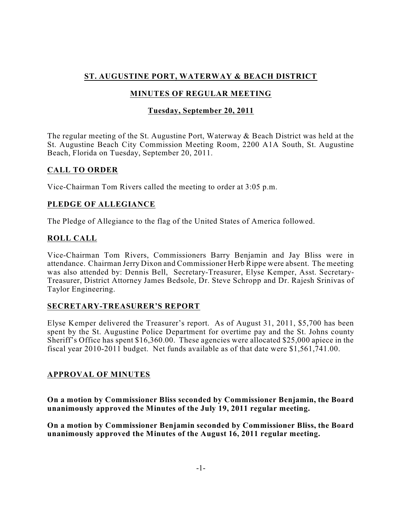# **ST. AUGUSTINE PORT, WATERWAY & BEACH DISTRICT**

# **MINUTES OF REGULAR MEETING**

## **Tuesday, September 20, 2011**

The regular meeting of the St. Augustine Port, Waterway & Beach District was held at the St. Augustine Beach City Commission Meeting Room, 2200 A1A South, St. Augustine Beach, Florida on Tuesday, September 20, 2011.

### **CALL TO ORDER**

Vice-Chairman Tom Rivers called the meeting to order at 3:05 p.m.

### **PLEDGE OF ALLEGIANCE**

The Pledge of Allegiance to the flag of the United States of America followed.

### **ROLL CALL**

Vice-Chairman Tom Rivers, Commissioners Barry Benjamin and Jay Bliss were in attendance. Chairman Jerry Dixon and Commissioner Herb Rippe were absent. The meeting was also attended by: Dennis Bell, Secretary-Treasurer, Elyse Kemper, Asst. Secretary-Treasurer, District Attorney James Bedsole, Dr. Steve Schropp and Dr. Rajesh Srinivas of Taylor Engineering.

#### **SECRETARY-TREASURER'S REPORT**

Elyse Kemper delivered the Treasurer's report. As of August 31, 2011, \$5,700 has been spent by the St. Augustine Police Department for overtime pay and the St. Johns county Sheriff's Office has spent \$16,360.00. These agencies were allocated \$25,000 apiece in the fiscal year 2010-2011 budget. Net funds available as of that date were \$1,561,741.00.

#### **APPROVAL OF MINUTES**

**On a motion by Commissioner Bliss seconded by Commissioner Benjamin, the Board unanimously approved the Minutes of the July 19, 2011 regular meeting.**

**On a motion by Commissioner Benjamin seconded by Commissioner Bliss, the Board unanimously approved the Minutes of the August 16, 2011 regular meeting.**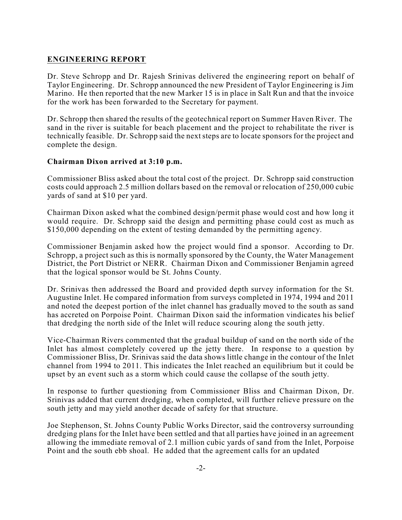### **ENGINEERING REPORT**

Dr. Steve Schropp and Dr. Rajesh Srinivas delivered the engineering report on behalf of Taylor Engineering. Dr. Schropp announced the new President of Taylor Engineering is Jim Marino. He then reported that the new Marker 15 is in place in Salt Run and that the invoice for the work has been forwarded to the Secretary for payment.

Dr. Schropp then shared the results of the geotechnical report on Summer Haven River. The sand in the river is suitable for beach placement and the project to rehabilitate the river is technically feasible. Dr. Schropp said the next steps are to locate sponsors for the project and complete the design.

#### **Chairman Dixon arrived at 3:10 p.m.**

Commissioner Bliss asked about the total cost of the project. Dr. Schropp said construction costs could approach 2.5 million dollars based on the removal or relocation of 250,000 cubic yards of sand at \$10 per yard.

Chairman Dixon asked what the combined design/permit phase would cost and how long it would require. Dr. Schropp said the design and permitting phase could cost as much as \$150,000 depending on the extent of testing demanded by the permitting agency.

Commissioner Benjamin asked how the project would find a sponsor. According to Dr. Schropp, a project such as this is normally sponsored by the County, the Water Management District, the Port District or NERR. Chairman Dixon and Commissioner Benjamin agreed that the logical sponsor would be St. Johns County.

Dr. Srinivas then addressed the Board and provided depth survey information for the St. Augustine Inlet. He compared information from surveys completed in 1974, 1994 and 2011 and noted the deepest portion of the inlet channel has gradually moved to the south as sand has accreted on Porpoise Point. Chairman Dixon said the information vindicates his belief that dredging the north side of the Inlet will reduce scouring along the south jetty.

Vice-Chairman Rivers commented that the gradual buildup of sand on the north side of the Inlet has almost completely covered up the jetty there. In response to a question by Commissioner Bliss, Dr. Srinivas said the data shows little change in the contour of the Inlet channel from 1994 to 2011. This indicates the Inlet reached an equilibrium but it could be upset by an event such as a storm which could cause the collapse of the south jetty.

In response to further questioning from Commissioner Bliss and Chairman Dixon, Dr. Srinivas added that current dredging, when completed, will further relieve pressure on the south jetty and may yield another decade of safety for that structure.

Joe Stephenson, St. Johns County Public Works Director, said the controversy surrounding dredging plans for the Inlet have been settled and that all parties have joined in an agreement allowing the immediate removal of 2.1 million cubic yards of sand from the Inlet, Porpoise Point and the south ebb shoal. He added that the agreement calls for an updated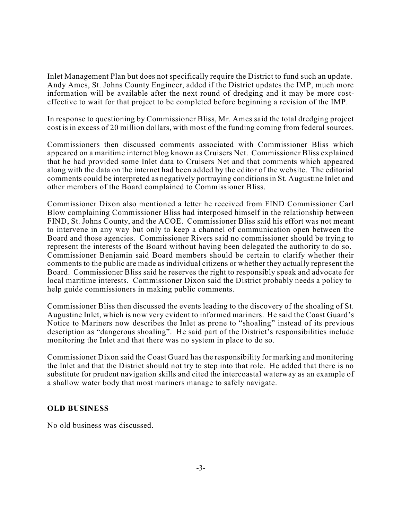Inlet Management Plan but does not specifically require the District to fund such an update. Andy Ames, St. Johns County Engineer, added if the District updates the IMP, much more information will be available after the next round of dredging and it may be more costeffective to wait for that project to be completed before beginning a revision of the IMP.

In response to questioning by Commissioner Bliss, Mr. Ames said the total dredging project cost is in excess of 20 million dollars, with most of the funding coming from federal sources.

Commissioners then discussed comments associated with Commissioner Bliss which appeared on a maritime internet blog known as Cruisers Net. Commissioner Bliss explained that he had provided some Inlet data to Cruisers Net and that comments which appeared along with the data on the internet had been added by the editor of the website. The editorial comments could be interpreted as negatively portraying conditions in St. Augustine Inlet and other members of the Board complained to Commissioner Bliss.

Commissioner Dixon also mentioned a letter he received from FIND Commissioner Carl Blow complaining Commissioner Bliss had interposed himself in the relationship between FIND, St. Johns County, and the ACOE. Commissioner Bliss said his effort was not meant to intervene in any way but only to keep a channel of communication open between the Board and those agencies. Commissioner Rivers said no commissioner should be trying to represent the interests of the Board without having been delegated the authority to do so. Commissioner Benjamin said Board members should be certain to clarify whether their comments to the public are made as individual citizens or whether they actually represent the Board. Commissioner Bliss said he reserves the right to responsibly speak and advocate for local maritime interests. Commissioner Dixon said the District probably needs a policy to help guide commissioners in making public comments.

Commissioner Bliss then discussed the events leading to the discovery of the shoaling of St. Augustine Inlet, which is now very evident to informed mariners. He said the Coast Guard's Notice to Mariners now describes the Inlet as prone to "shoaling" instead of its previous description as "dangerous shoaling". He said part of the District's responsibilities include monitoring the Inlet and that there was no system in place to do so.

Commissioner Dixon said the Coast Guard hasthe responsibility for marking and monitoring the Inlet and that the District should not try to step into that role. He added that there is no substitute for prudent navigation skills and cited the intercoastal waterway as an example of a shallow water body that most mariners manage to safely navigate.

#### **OLD BUSINESS**

No old business was discussed.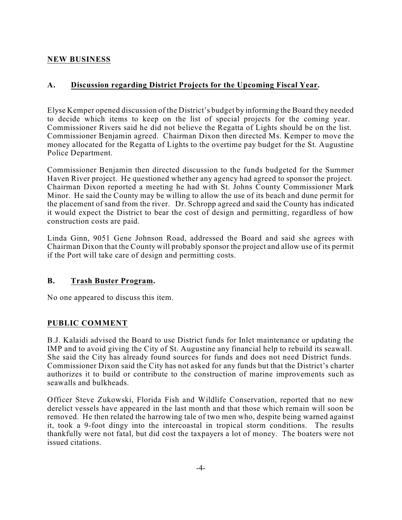## **NEW BUSINESS**

### **A. Discussion regarding District Projects for the Upcoming Fiscal Year.**

Elyse Kemper opened discussion of the District's budget by informing the Board they needed to decide which items to keep on the list of special projects for the coming year. Commissioner Rivers said he did not believe the Regatta of Lights should be on the list. Commissioner Benjamin agreed. Chairman Dixon then directed Ms. Kemper to move the money allocated for the Regatta of Lights to the overtime pay budget for the St. Augustine Police Department.

Commissioner Benjamin then directed discussion to the funds budgeted for the Summer Haven River project. He questioned whether any agency had agreed to sponsor the project. Chairman Dixon reported a meeting he had with St. Johns County Commissioner Mark Minor. He said the County may be willing to allow the use of its beach and dune permit for the placement of sand from the river. Dr. Schropp agreed and said the County has indicated it would expect the District to bear the cost of design and permitting, regardless of how construction costs are paid.

Linda Ginn, 9051 Gene Johnson Road, addressed the Board and said she agrees with Chairman Dixon that the County will probably sponsor the project and allow use of its permit if the Port will take care of design and permitting costs.

### **B. Trash Buster Program.**

No one appeared to discuss this item.

### **PUBLIC COMMENT**

B.J. Kalaidi advised the Board to use District funds for Inlet maintenance or updating the IMP and to avoid giving the City of St. Augustine any financial help to rebuild its seawall. She said the City has already found sources for funds and does not need District funds. Commissioner Dixon said the City has not asked for any funds but that the District's charter authorizes it to build or contribute to the construction of marine improvements such as seawalls and bulkheads.

Officer Steve Zukowski, Florida Fish and Wildlife Conservation, reported that no new derelict vessels have appeared in the last month and that those which remain will soon be removed. He then related the harrowing tale of two men who, despite being warned against it, took a 9-foot dingy into the intercoastal in tropical storm conditions. The results thankfully were not fatal, but did cost the taxpayers a lot of money. The boaters were not issued citations.